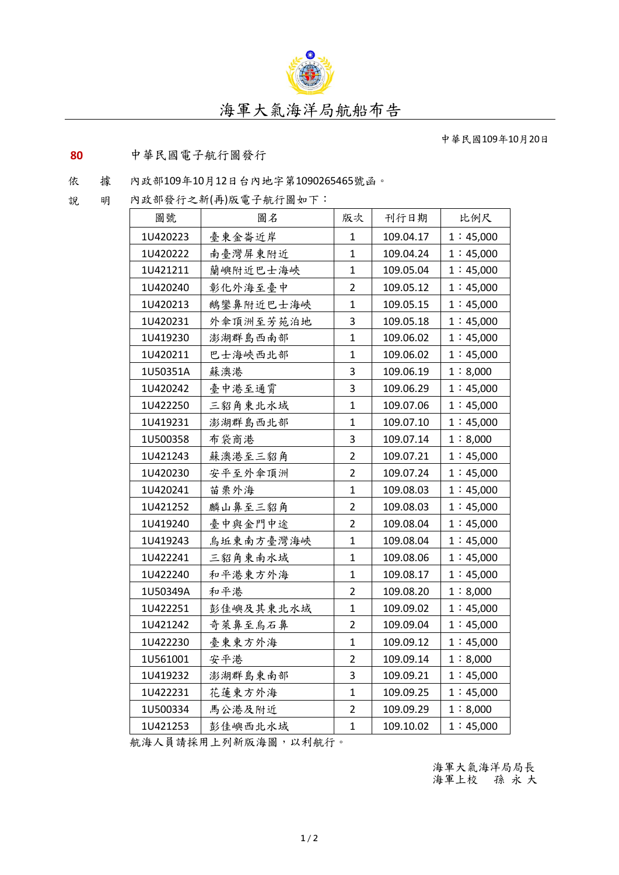

中華民國109年10月20日

## **80** 中華民國電子航行圖發行

## 依 據 內政部109年10月12日台內地字第1090265465號函。

說 明 內政部發行之新(再)版電子航行圖如下:

| 圖號       | 圖名        | 版次             | 刊行日期      | 比例尺      |
|----------|-----------|----------------|-----------|----------|
| 1U420223 | 臺東金崙近岸    | 1              | 109.04.17 | 1:45,000 |
| 1U420222 | 南臺灣屏東附近   | $\mathbf 1$    | 109.04.24 | 1:45,000 |
| 1U421211 | 蘭嶼附近巴士海峽  | $\mathbf 1$    | 109.05.04 | 1:45,000 |
| 1U420240 | 彰化外海至臺中   | $\overline{2}$ | 109.05.12 | 1:45,000 |
| 1U420213 | 鵝鑾鼻附近巴士海峽 | $\mathbf{1}$   | 109.05.15 | 1:45,000 |
| 1U420231 | 外傘頂洲至芳苑泊地 | 3              | 109.05.18 | 1:45,000 |
| 1U419230 | 澎湖群島西南部   | $\mathbf{1}$   | 109.06.02 | 1:45,000 |
| 1U420211 | 巴士海峽西北部   | $\mathbf{1}$   | 109.06.02 | 1:45,000 |
| 1U50351A | 蘇澳港       | 3              | 109.06.19 | 1:8,000  |
| 1U420242 | 臺中港至通霄    | 3              | 109.06.29 | 1:45,000 |
| 1U422250 | 三貂角東北水域   | $\mathbf 1$    | 109.07.06 | 1:45,000 |
| 1U419231 | 澎湖群島西北部   | $\mathbf 1$    | 109.07.10 | 1:45,000 |
| 1U500358 | 布袋商港      | 3              | 109.07.14 | 1:8,000  |
| 1U421243 | 蘇澳港至三貂角   | $\overline{2}$ | 109.07.21 | 1:45,000 |
| 1U420230 | 安平至外傘頂洲   | $\overline{2}$ | 109.07.24 | 1:45,000 |
| 1U420241 | 苗栗外海      | $\mathbf 1$    | 109.08.03 | 1:45,000 |
| 1U421252 | 麟山鼻至三貂角   | $\overline{2}$ | 109.08.03 | 1:45,000 |
| 1U419240 | 臺中與金門中途   | $\overline{2}$ | 109.08.04 | 1:45,000 |
| 1U419243 | 烏坵東南方臺灣海峽 | $\mathbf{1}$   | 109.08.04 | 1:45,000 |
| 1U422241 | 三貂角東南水域   | $\mathbf{1}$   | 109.08.06 | 1:45,000 |
| 1U422240 | 和平港東方外海   | 1              | 109.08.17 | 1:45,000 |
| 1U50349A | 和平港       | $\overline{2}$ | 109.08.20 | 1:8,000  |
| 1U422251 | 彭佳嶼及其東北水域 | $\mathbf{1}$   | 109.09.02 | 1:45,000 |
| 1U421242 | 奇萊鼻至烏石鼻   | $\overline{2}$ | 109.09.04 | 1:45,000 |
| 1U422230 | 臺東東方外海    | 1              | 109.09.12 | 1:45,000 |
| 1U561001 | 安平港       | $\overline{2}$ | 109.09.14 | 1:8,000  |
| 1U419232 | 澎湖群島東南部   | 3              | 109.09.21 | 1:45,000 |
| 1U422231 | 花蓮東方外海    | $\mathbf{1}$   | 109.09.25 | 1:45,000 |
| 1U500334 | 馬公港及附近    | $\overline{2}$ | 109.09.29 | 1:8,000  |
| 1U421253 | 彭佳嶼西北水域   | $\mathbf{1}$   | 109.10.02 | 1:45,000 |

航海人員請採用上列新版海圖,以利航行。

海軍大氣海洋局局長 海軍上校 孫 永 大